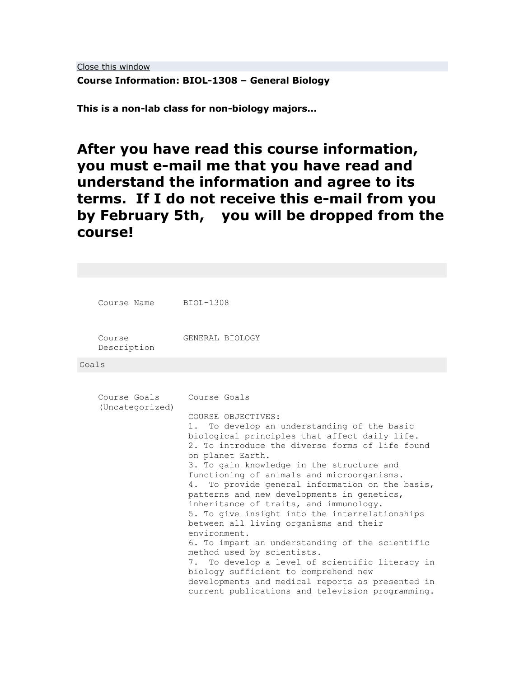[Close this window](javascript:window.close();)

**Course Information: BIOL-1308 – General Biology**

**This is a non-lab class for non-biology majors…**

**After you have read this course information, you must e-mail me that you have read and understand the information and agree to its terms. If I do not receive this e-mail from you by February 5th, you will be dropped from the course!**

|       | Course Name BIOL-1308           |                                                                                                                                                                                                                                                                                                                                                                                                                                                                                                                                                                                                                                                                                                                                                  |  |  |  |  |
|-------|---------------------------------|--------------------------------------------------------------------------------------------------------------------------------------------------------------------------------------------------------------------------------------------------------------------------------------------------------------------------------------------------------------------------------------------------------------------------------------------------------------------------------------------------------------------------------------------------------------------------------------------------------------------------------------------------------------------------------------------------------------------------------------------------|--|--|--|--|
|       | Course<br>Description           | GENERAL BIOLOGY                                                                                                                                                                                                                                                                                                                                                                                                                                                                                                                                                                                                                                                                                                                                  |  |  |  |  |
| Goals |                                 |                                                                                                                                                                                                                                                                                                                                                                                                                                                                                                                                                                                                                                                                                                                                                  |  |  |  |  |
|       | Course Goals<br>(Uncategorized) | Course Goals<br>COURSE OBJECTIVES:<br>To develop an understanding of the basic<br>1.<br>biological principles that affect daily life.<br>2. To introduce the diverse forms of life found<br>on planet Earth.<br>3. To gain knowledge in the structure and<br>functioning of animals and microorganisms.<br>To provide general information on the basis,<br>4.<br>patterns and new developments in genetics,<br>inheritance of traits, and immunology.<br>5. To give insight into the interrelationships<br>between all living organisms and their<br>environment.<br>6. To impart an understanding of the scientific<br>method used by scientists.<br>To develop a level of scientific literacy in<br>7.<br>biology sufficient to comprehend new |  |  |  |  |
|       |                                 | developments and medical reports as presented in<br>current publications and television programming.                                                                                                                                                                                                                                                                                                                                                                                                                                                                                                                                                                                                                                             |  |  |  |  |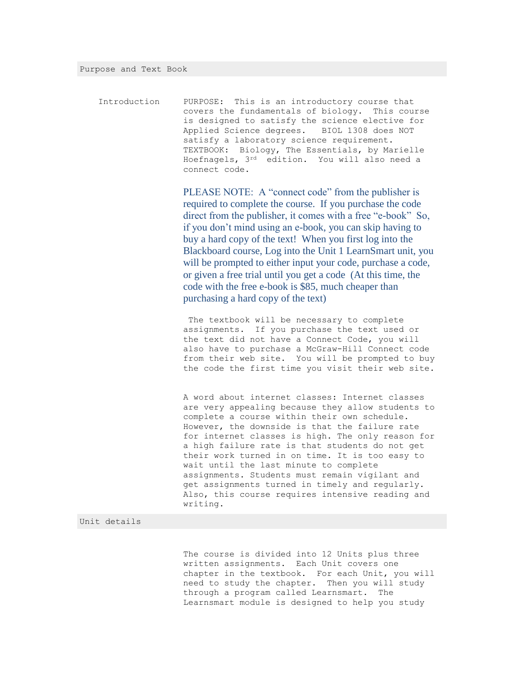| Introduction | PURPOSE: This is an introductory course that    |  |  |
|--------------|-------------------------------------------------|--|--|
|              | covers the fundamentals of biology. This course |  |  |
|              | is designed to satisfy the science elective for |  |  |
|              | Applied Science degrees. BIOL 1308 does NOT     |  |  |
|              | satisfy a laboratory science requirement.       |  |  |
|              | TEXTBOOK: Biology, The Essentials, by Marielle  |  |  |
|              | Hoefnagels, 3rd edition. You will also need a   |  |  |
|              | connect code.                                   |  |  |

PLEASE NOTE: A "connect code" from the publisher is required to complete the course. If you purchase the code direct from the publisher, it comes with a free "e-book" So, if you don't mind using an e-book, you can skip having to buy a hard copy of the text! When you first log into the Blackboard course, Log into the Unit 1 LearnSmart unit, you will be prompted to either input your code, purchase a code, or given a free trial until you get a code (At this time, the code with the free e-book is \$85, much cheaper than purchasing a hard copy of the text)

The textbook will be necessary to complete assignments. If you purchase the text used or the text did not have a Connect Code, you will also have to purchase a McGraw-Hill Connect code from their web site. You will be prompted to buy the code the first time you visit their web site.

A word about internet classes: Internet classes are very appealing because they allow students to complete a course within their own schedule. However, the downside is that the failure rate for internet classes is high. The only reason for a high failure rate is that students do not get their work turned in on time. It is too easy to wait until the last minute to complete assignments. Students must remain vigilant and get assignments turned in timely and regularly. Also, this course requires intensive reading and writing.

### Unit details

The course is divided into 12 Units plus three written assignments. Each Unit covers one chapter in the textbook. For each Unit, you will need to study the chapter. Then you will study through a program called Learnsmart. The Learnsmart module is designed to help you study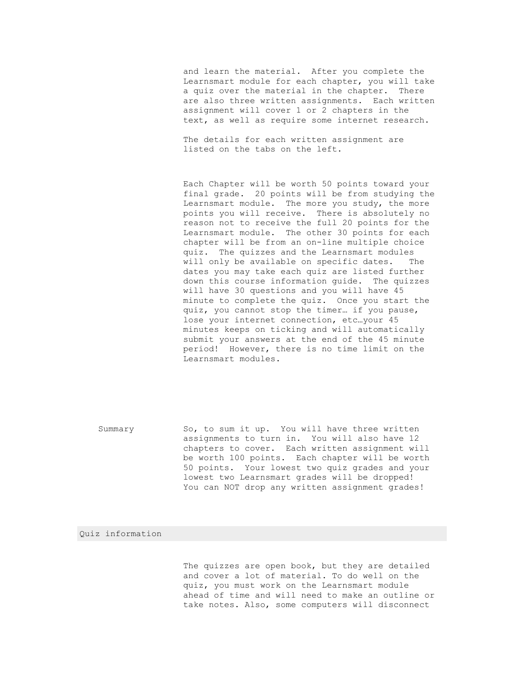and learn the material. After you complete the Learnsmart module for each chapter, you will take a quiz over the material in the chapter. There are also three written assignments. Each written assignment will cover 1 or 2 chapters in the text, as well as require some internet research.

The details for each written assignment are listed on the tabs on the left.

Each Chapter will be worth 50 points toward your final grade. 20 points will be from studying the Learnsmart module. The more you study, the more points you will receive. There is absolutely no reason not to receive the full 20 points for the Learnsmart module. The other 30 points for each chapter will be from an on-line multiple choice quiz. The quizzes and the Learnsmart modules will only be available on specific dates. The dates you may take each quiz are listed further down this course information guide. The quizzes will have 30 questions and you will have 45 minute to complete the quiz. Once you start the quiz, you cannot stop the timer… if you pause, lose your internet connection, etc…your 45 minutes keeps on ticking and will automatically submit your answers at the end of the 45 minute period! However, there is no time limit on the Learnsmart modules.

Summary So, to sum it up. You will have three written assignments to turn in. You will also have 12 chapters to cover. Each written assignment will be worth 100 points. Each chapter will be worth 50 points. Your lowest two quiz grades and your lowest two Learnsmart grades will be dropped! You can NOT drop any written assignment grades!

## Quiz information

The quizzes are open book, but they are detailed and cover a lot of material. To do well on the quiz, you must work on the Learnsmart module ahead of time and will need to make an outline or take notes. Also, some computers will disconnect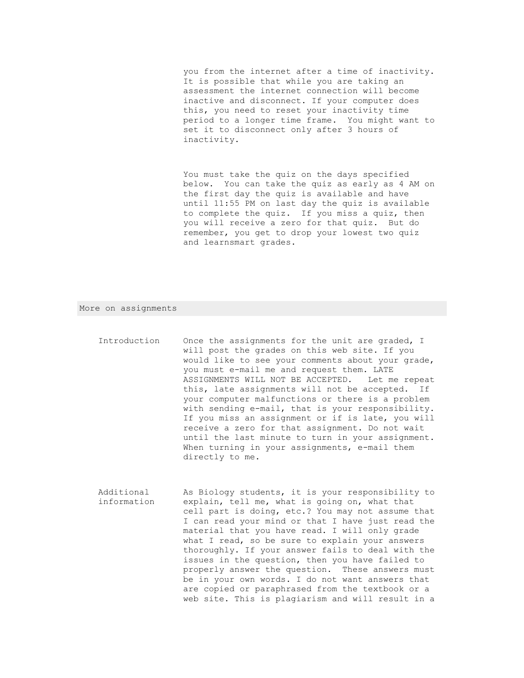you from the internet after a time of inactivity. It is possible that while you are taking an assessment the internet connection will become inactive and disconnect. If your computer does this, you need to reset your inactivity time period to a longer time frame. You might want to set it to disconnect only after 3 hours of inactivity.

You must take the quiz on the days specified below. You can take the quiz as early as 4 AM on the first day the quiz is available and have until 11:55 PM on last day the quiz is available to complete the quiz. If you miss a quiz, then you will receive a zero for that quiz. But do remember, you get to drop your lowest two quiz and learnsmart grades.

#### More on assignments

- Introduction Once the assignments for the unit are graded, I will post the grades on this web site. If you would like to see your comments about your grade, you must e-mail me and request them. LATE ASSIGNMENTS WILL NOT BE ACCEPTED. Let me repeat this, late assignments will not be accepted. If your computer malfunctions or there is a problem with sending e-mail, that is your responsibility. If you miss an assignment or if is late, you will receive a zero for that assignment. Do not wait until the last minute to turn in your assignment. When turning in your assignments, e-mail them directly to me.
- Additional information As Biology students, it is your responsibility to explain, tell me, what is going on, what that cell part is doing, etc.? You may not assume that I can read your mind or that I have just read the material that you have read. I will only grade what I read, so be sure to explain your answers thoroughly. If your answer fails to deal with the issues in the question, then you have failed to properly answer the question. These answers must be in your own words. I do not want answers that are copied or paraphrased from the textbook or a web site. This is plagiarism and will result in a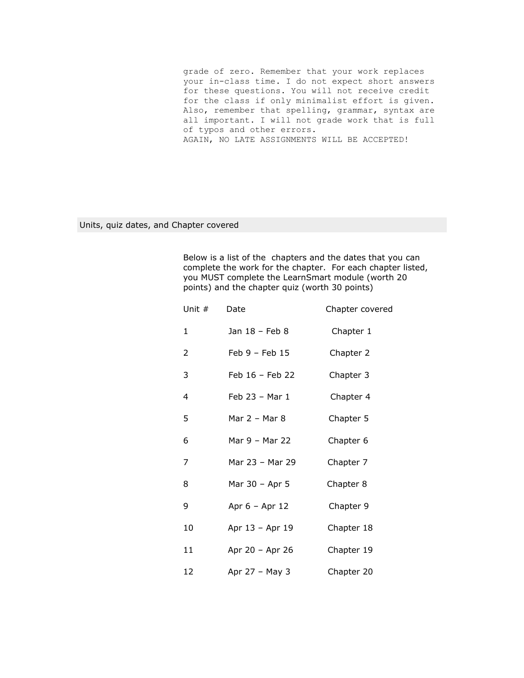grade of zero. Remember that your work replaces your in-class time. I do not expect short answers for these questions. You will not receive credit for the class if only minimalist effort is given. Also, remember that spelling, grammar, syntax are all important. I will not grade work that is full of typos and other errors. AGAIN, NO LATE ASSIGNMENTS WILL BE ACCEPTED!

Units, quiz dates, and Chapter covered

Below is a list of the chapters and the dates that you can complete the work for the chapter. For each chapter listed, you MUST complete the LearnSmart module (worth 20 points) and the chapter quiz (worth 30 points)

| Unit # | Date               | Chapter covered |
|--------|--------------------|-----------------|
| 1      | Jan 18 - Feb 8     | Chapter 1       |
| 2      | Feb $9$ – Feb $15$ | Chapter 2       |
| 3      | Feb 16 - Feb 22    | Chapter 3       |
| 4      | Feb 23 - Mar 1     | Chapter 4       |
| 5      | Mar 2 – Mar 8      | Chapter 5       |
| 6      | Mar 9 - Mar 22     | Chapter 6       |
| 7      | Mar 23 - Mar 29    | Chapter 7       |
| 8      | Mar 30 - Apr 5     | Chapter 8       |
| 9      | Apr $6 -$ Apr $12$ | Chapter 9       |
| 10     | Apr 13 - Apr 19    | Chapter 18      |
| 11     | Apr 20 - Apr 26    | Chapter 19      |
| 12     | Apr 27 - May 3     | Chapter 20      |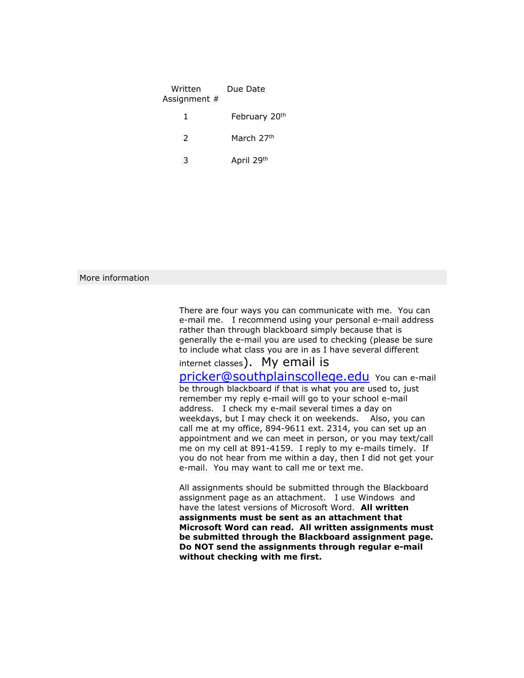| Written<br>Assignment # | Due Date      |
|-------------------------|---------------|
|                         | February 20th |
| $\mathcal{P}$           | March 27th    |
| 3                       | April 29th    |

# More information

There are four ways you can communicate with me. You can e-mail me. I recommend using your personal e-mail address rather than through blackboard simply because that is generally the e-mail you are used to checking (please be sure to include what class you are in as I have several different

internet classes). My email is

[pricker@southplainscollege.edu](mailto:pricker@southplainscollege.edu) You can e-mail be through blackboard if that is what you are used to, just remember my reply e-mail will go to your school e-mail address. I check my e-mail several times a day on weekdays, but I may check it on weekends. Also, you can call me at my office, 894-9611 ext. 2314, you can set up an appointment and we can meet in person, or you may text/call me on my cell at 891-4159. I reply to my e-mails timely. If you do not hear from me within a day, then I did not get your e-mail. You may want to call me or text me.

All assignments should be submitted through the Blackboard assignment page as an attachment. I use Windows and have the latest versions of Microsoft Word. **All written assignments must be sent as an attachment that Microsoft Word can read. All written assignments must be submitted through the Blackboard assignment page. Do NOT send the assignments through regular e-mail without checking with me first.**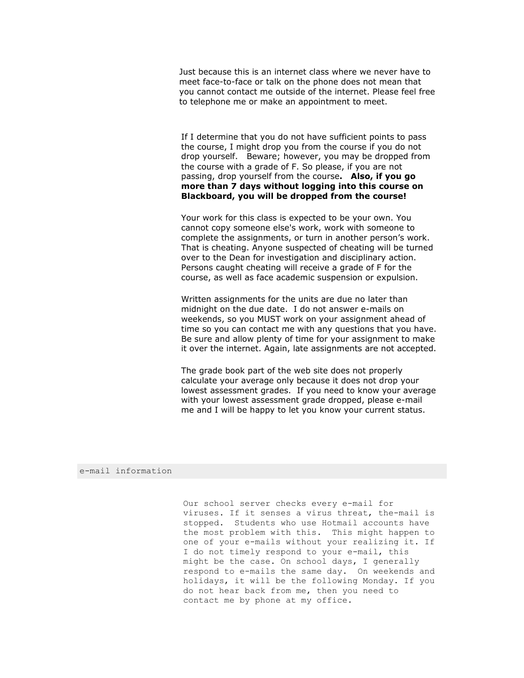Just because this is an internet class where we never have to meet face-to-face or talk on the phone does not mean that you cannot contact me outside of the internet. Please feel free to telephone me or make an appointment to meet.

If I determine that you do not have sufficient points to pass the course, I might drop you from the course if you do not drop yourself. Beware; however, you may be dropped from the course with a grade of F. So please, if you are not passing, drop yourself from the course**. Also, if you go more than 7 days without logging into this course on Blackboard, you will be dropped from the course!**

Your work for this class is expected to be your own. You cannot copy someone else's work, work with someone to complete the assignments, or turn in another person's work. That is cheating. Anyone suspected of cheating will be turned over to the Dean for investigation and disciplinary action. Persons caught cheating will receive a grade of F for the course, as well as face academic suspension or expulsion.

Written assignments for the units are due no later than midnight on the due date. I do not answer e-mails on weekends, so you MUST work on your assignment ahead of time so you can contact me with any questions that you have. Be sure and allow plenty of time for your assignment to make it over the internet. Again, late assignments are not accepted.

The grade book part of the web site does not properly calculate your average only because it does not drop your lowest assessment grades. If you need to know your average with your lowest assessment grade dropped, please e-mail me and I will be happy to let you know your current status.

#### e-mail information

Our school server checks every e-mail for viruses. If it senses a virus threat, the-mail is stopped. Students who use Hotmail accounts have the most problem with this. This might happen to one of your e-mails without your realizing it. If I do not timely respond to your e-mail, this might be the case. On school days, I generally respond to e-mails the same day. On weekends and holidays, it will be the following Monday. If you do not hear back from me, then you need to contact me by phone at my office.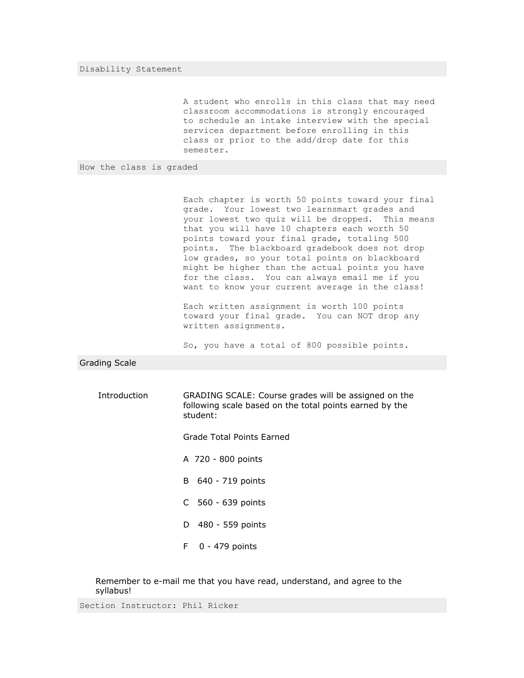Disability Statement

A student who enrolls in this class that may need classroom accommodations is strongly encouraged to schedule an intake interview with the special services department before enrolling in this class or prior to the add/drop date for this semester.

How the class is graded

Each chapter is worth 50 points toward your final grade. Your lowest two learnsmart grades and your lowest two quiz will be dropped. This means that you will have 10 chapters each worth 50 points toward your final grade, totaling 500 points. The blackboard gradebook does not drop low grades, so your total points on blackboard might be higher than the actual points you have for the class. You can always email me if you want to know your current average in the class!

Each written assignment is worth 100 points toward your final grade. You can NOT drop any written assignments.

So, you have a total of 800 possible points.

Grading Scale

Introduction GRADING SCALE: Course grades will be assigned on the following scale based on the total points earned by the student:

Grade Total Points Earned

- A 720 800 points
- B 640 719 points
- C 560 639 points
- D 480 559 points
- F 0 479 points

Remember to e-mail me that you have read, understand, and agree to the syllabus!

Section Instructor: Phil Ricker